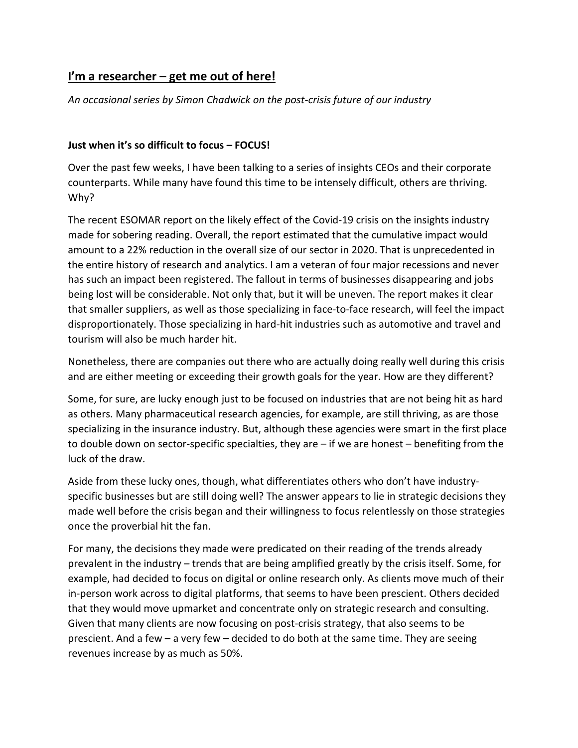## **I'm a researcher – get me out of here!**

*An occasional series by Simon Chadwick on the post-crisis future of our industry*

## **Just when it's so difficult to focus – FOCUS!**

Over the past few weeks, I have been talking to a series of insights CEOs and their corporate counterparts. While many have found this time to be intensely difficult, others are thriving. Why?

The recent ESOMAR report on the likely effect of the Covid-19 crisis on the insights industry made for sobering reading. Overall, the report estimated that the cumulative impact would amount to a 22% reduction in the overall size of our sector in 2020. That is unprecedented in the entire history of research and analytics. I am a veteran of four major recessions and never has such an impact been registered. The fallout in terms of businesses disappearing and jobs being lost will be considerable. Not only that, but it will be uneven. The report makes it clear that smaller suppliers, as well as those specializing in face-to-face research, will feel the impact disproportionately. Those specializing in hard-hit industries such as automotive and travel and tourism will also be much harder hit.

Nonetheless, there are companies out there who are actually doing really well during this crisis and are either meeting or exceeding their growth goals for the year. How are they different?

Some, for sure, are lucky enough just to be focused on industries that are not being hit as hard as others. Many pharmaceutical research agencies, for example, are still thriving, as are those specializing in the insurance industry. But, although these agencies were smart in the first place to double down on sector-specific specialties, they are  $-$  if we are honest  $-$  benefiting from the luck of the draw.

Aside from these lucky ones, though, what differentiates others who don't have industryspecific businesses but are still doing well? The answer appears to lie in strategic decisions they made well before the crisis began and their willingness to focus relentlessly on those strategies once the proverbial hit the fan.

For many, the decisions they made were predicated on their reading of the trends already prevalent in the industry – trends that are being amplified greatly by the crisis itself. Some, for example, had decided to focus on digital or online research only. As clients move much of their in-person work across to digital platforms, that seems to have been prescient. Others decided that they would move upmarket and concentrate only on strategic research and consulting. Given that many clients are now focusing on post-crisis strategy, that also seems to be prescient. And a few – a very few – decided to do both at the same time. They are seeing revenues increase by as much as 50%.